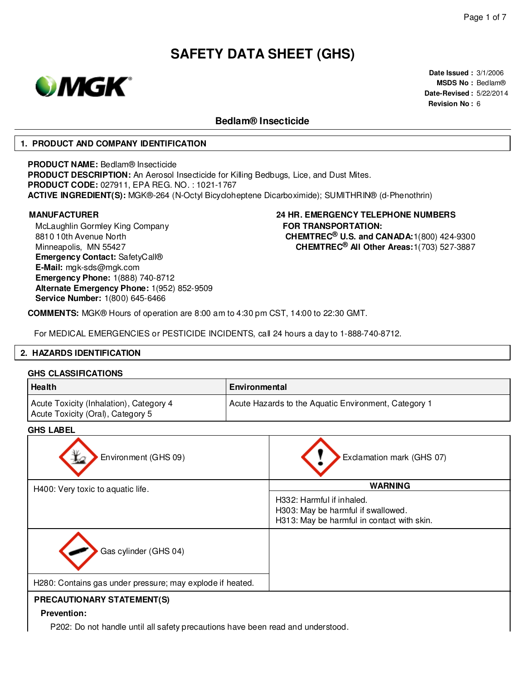

**Date Issued :** 3/1/2006 **MSDS No :** Bedlam® **Date-Revised :** 5/22/2014 **Revision No :** 6

### **Bedlam® Insecticide**

#### **1. PRODUCT AND COMPANY IDENTIFICATION**

**PRODUCT NAME:** Bedlam® Insecticide

**PRODUCT DESCRIPTION:** An Aerosol Insecticide for Killing Bedbugs, Lice, and Dust Mites. **PRODUCT CODE:** 027911, EPA REG. NO. : 1021-1767 **ACTIVE INGREDIENT(S):** MGK®-264 (N-Octyl Bicycloheptene Dicarboximide); SUMITHRIN® (d-Phenothrin)

McLaughlin Gormley King Company 8810 10th Avenue North Minneapolis, MN 55427 **Emergency Contact:** SafetyCall® **E-Mail:** mgk-sds@mgk.com **Emergency Phone:** 1(888) 740-8712 **Alternate Emergency Phone:** 1(952) 852-9509 **Service Number:** 1(800) 645-6466

### **MANUFACTURER 24 HR. EMERGENCY TELEPHONE NUMBERS FOR TRANSPORTATION: CHEMTREC® U.S. and CANADA:**1(800) 424-9300 **CHEMTREC® All Other Areas:**1(703) 527-3887

**COMMENTS:** MGK® Hours of operation are 8:00 am to 4:30 pm CST, 14:00 to 22:30 GMT.

For MEDICAL EMERGENCIES or PESTICIDE INCIDENTS, call 24 hours a day to 1-888-740-8712.

#### **2. HAZARDS IDENTIFICATION**

#### **GHS CLASSIFICATIONS**

| Health                                                                       | Environmental                                        |
|------------------------------------------------------------------------------|------------------------------------------------------|
| Acute Toxicity (Inhalation), Category 4<br>Acute Toxicity (Oral), Category 5 | Acute Hazards to the Aquatic Environment, Category 1 |

### **GHS LABEL**

| unu Lable                                                 |                                                                                                               |
|-----------------------------------------------------------|---------------------------------------------------------------------------------------------------------------|
| Environment (GHS 09)                                      | Exclamation mark (GHS 07)                                                                                     |
| H400: Very toxic to aquatic life.                         | <b>WARNING</b>                                                                                                |
|                                                           | H332: Harmful if inhaled.<br>H303: May be harmful if swallowed.<br>H313: May be harmful in contact with skin. |
| Gas cylinder (GHS 04)                                     |                                                                                                               |
| H280: Contains gas under pressure; may explode if heated. |                                                                                                               |
| <b>PRECAUTIONARY STATEMENT(S)</b>                         |                                                                                                               |

# **Prevention:**

P202: Do not handle until all safety precautions have been read and understood.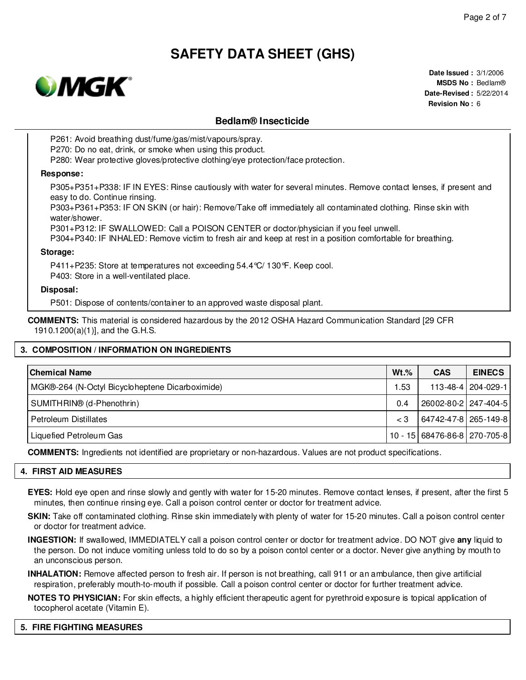

**Date Issued :** 3/1/2006 **MSDS No :** Bedlam® **Date-Revised :** 5/22/2014 **Revision No :** 6

## **Bedlam® Insecticide**

P261: Avoid breathing dust/fume/gas/mist/vapours/spray.

P270: Do no eat, drink, or smoke when using this product.

P280: Wear protective gloves/protective clothing/eye protection/face protection.

#### **Response:**

P305+P351+P338: IF IN EYES: Rinse cautiously with water for several minutes. Remove contact lenses, if present and easy to do. Continue rinsing.

P303+P361+P353: IF ON SKIN (or hair): Remove/Take off immediately all contaminated clothing. Rinse skin with water/shower.

P301+P312: IF SWALLOWED: Call a POISON CENTER or doctor/physician if you feel unwell.

P304+P340: IF INHALED: Remove victim to fresh air and keep at rest in a position comfortable for breathing.

#### **Storage:**

P411+P235: Store at temperatures not exceeding 54.4°C/ 130°F. Keep cool. P403: Store in a well-ventilated place.

#### **Disposal:**

P501: Dispose of contents/container to an approved waste disposal plant.

**COMMENTS:** This material is considered hazardous by the 2012 OSHA Hazard Communication Standard [29 CFR 1910.1200(a)(1)], and the G.H.S.

### **3. COMPOSITION / INFORMATION ON INGREDIENTS**

| <b>Chemical Name</b>                            | $Wt.\%$ | <b>CAS</b>                   | <b>EINECS</b>        |
|-------------------------------------------------|---------|------------------------------|----------------------|
| MGK®-264 (N-Octyl Bicycloheptene Dicarboximide) | .53     |                              | 113-48-4   204-029-1 |
| SUMITHRIN® (d-Phenothrin)                       | 0.4     | 26002-80-2 247-404-5         |                      |
| Petroleum Distillates                           | $\lt 3$ | 64742-47-8   265-149-8       |                      |
| Liquefied Petroleum Gas                         |         | 10 - 15 68476-86-8 270-705-8 |                      |

**COMMENTS:** Ingredients not identified are proprietary or non-hazardous. Values are not product specifications.

#### **4. FIRST AID MEASURES**

**EYES:** Hold eye open and rinse slowly and gently with water for 15-20 minutes. Remove contact lenses, if present, after the first 5 minutes, then continue rinsing eye. Call a poison control center or doctor for treatment advice.

**SKIN:** Take off contaminated clothing. Rinse skin immediately with plenty of water for 15-20 minutes. Call a poison control center or doctor for treatment advice.

**INGESTION:** If swallowed, IMMEDIATELY call a poison control center or doctor for treatment advice. DO NOT give **any** liquid to the person. Do not induce vomiting unless told to do so by a poison contol center or a doctor. Never give anything by mouth to an unconscious person.

**INHALATION:** Remove affected person to fresh air. If person is not breathing, call 911 or an ambulance, then give artificial respiration, preferably mouth-to-mouth if possible. Call a poison control center or doctor for further treatment advice.

**NOTES TO PHYSICIAN:** For skin effects, a highly efficient therapeutic agent for pyrethroid exposure is topical application of tocopherol acetate (Vitamin E).

#### **5. FIRE FIGHTING MEASURES**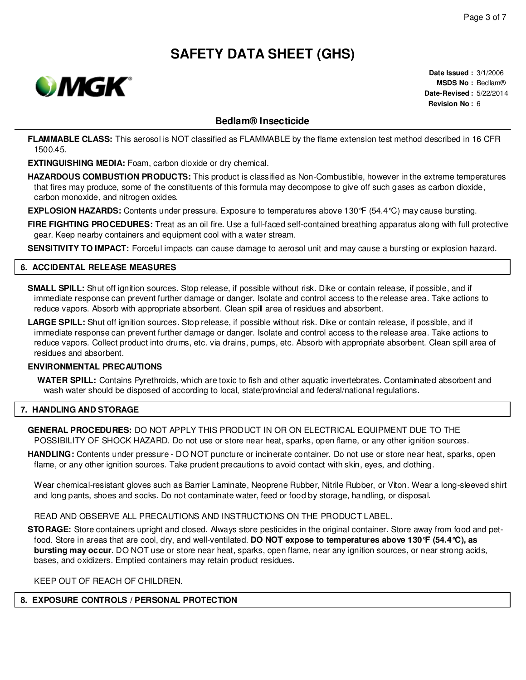

**Date Issued :** 3/1/2006 **MSDS No :** Bedlam® **Date-Revised :** 5/22/2014 **Revision No :** 6

# **Bedlam® Insecticide**

**FLAMMABLE CLASS:** This aerosol is NOT classified as FLAMMABLE by the flame extension test method described in 16 CFR 1500.45.

**EXTINGUISHING MEDIA:** Foam, carbon dioxide or dry chemical.

**HAZARDOUS COMBUSTION PRODUCTS:** This product is classified as Non-Combustible, however in the extreme temperatures that fires may produce, some of the constituents of this formula may decompose to give off such gases as carbon dioxide, carbon monoxide, and nitrogen oxides.

**EXPLOSION HAZARDS:** Contents under pressure. Exposure to temperatures above 130°F (54.4°C) may cause bursting.

**FIRE FIGHTING PROCEDURES:** Treat as an oil fire. Use a full-faced self-contained breathing apparatus along with full protective gear. Keep nearby containers and equipment cool with a water stream.

**SENSITIVITY TO IMPACT:** Forceful impacts can cause damage to aerosol unit and may cause a bursting or explosion hazard.

### **6. ACCIDENTAL RELEASE MEASURES**

**SMALL SPILL:** Shut off ignition sources. Stop release, if possible without risk. Dike or contain release, if possible, and if immediate response can prevent further damage or danger. Isolate and control access to the release area. Take actions to reduce vapors. Absorb with appropriate absorbent. Clean spill area of residues and absorbent.

**LARGE SPILL:** Shut off ignition sources. Stop release, if possible without risk. Dike or contain release, if possible, and if immediate response can prevent further damage or danger. Isolate and control access to the release area. Take actions to reduce vapors. Collect product into drums, etc. via drains, pumps, etc. Absorb with appropriate absorbent. Clean spill area of residues and absorbent.

#### **ENVIRONMENTAL PRECAUTIONS**

**WATER SPILL:** Contains Pyrethroids, which are toxic to fish and other aquatic invertebrates. Contaminated absorbent and wash water should be disposed of according to local, state/provincial and federal/national regulations.

#### **7. HANDLING AND STORAGE**

**GENERAL PROCEDURES:** DO NOT APPLY THIS PRODUCT IN OR ON ELECTRICAL EQUIPMENT DUE TO THE POSSIBILITY OF SHOCK HAZARD. Do not use or store near heat, sparks, open flame, or any other ignition sources.

**HANDLING:** Contents under pressure - DO NOT puncture or incinerate container. Do not use or store near heat, sparks, open flame, or any other ignition sources. Take prudent precautions to avoid contact with skin, eyes, and clothing.

Wear chemical-resistant gloves such as Barrier Laminate, Neoprene Rubber, Nitrile Rubber, or Viton. Wear a long-sleeved shirt and long pants, shoes and socks. Do not contaminate water, feed or food by storage, handling, or disposal.

READ AND OBSERVE ALL PRECAUTIONS AND INSTRUCTIONS ON THE PRODUCT LABEL.

**STORAGE:** Store containers upright and closed. Always store pesticides in the original container. Store away from food and petfood. Store in areas that are cool, dry, and well-ventilated. **DO NOT expose to temperatures above 130°F (54.4°C), as bursting may occur**. DO NOT use or store near heat, sparks, open flame, near any ignition sources, or near strong acids, bases, and oxidizers. Emptied containers may retain product residues.

KEEP OUT OF REACH OF CHILDREN.

### **8. EXPOSURE CONTROLS / PERSONAL PROTECTION**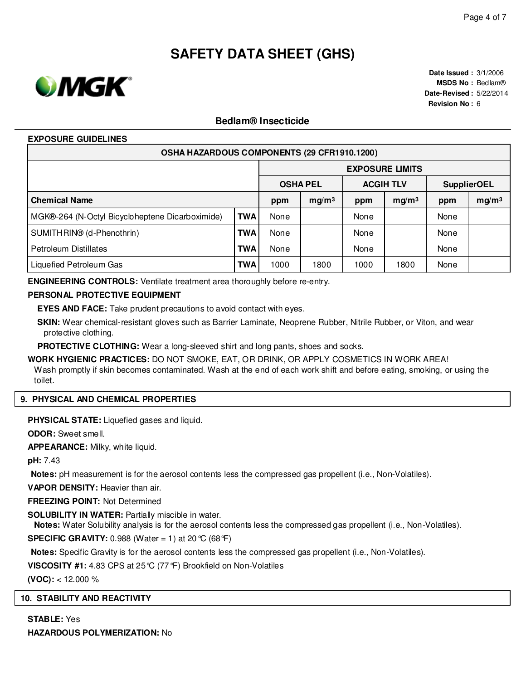

**Date Issued :** 3/1/2006 **MSDS No :** Bedlam® **Date-Revised :** 5/22/2014 **Revision No :** 6

## **Bedlam® Insecticide**

#### **EXPOSURE GUIDELINES**

| OSHA HAZARDOUS COMPONENTS (29 CFR1910.1200)     |            |                 |                        |                  |                   |                    |                   |  |
|-------------------------------------------------|------------|-----------------|------------------------|------------------|-------------------|--------------------|-------------------|--|
|                                                 |            |                 | <b>EXPOSURE LIMITS</b> |                  |                   |                    |                   |  |
|                                                 |            | <b>OSHA PEL</b> |                        | <b>ACGIH TLV</b> |                   | <b>SupplierOEL</b> |                   |  |
| <b>Chemical Name</b>                            |            | ppm             | mg/m <sup>3</sup>      | ppm              | mg/m <sup>3</sup> | ppm                | mg/m <sup>3</sup> |  |
| MGK®-264 (N-Octyl Bicycloheptene Dicarboximide) | <b>TWA</b> | None            |                        | None             |                   | None               |                   |  |
| SUMITHRIN® (d-Phenothrin)                       | <b>TWA</b> | None            |                        | None             |                   | None               |                   |  |
| Petroleum Distillates                           | <b>TWA</b> | None            |                        | None             |                   | None               |                   |  |
| Liquefied Petroleum Gas                         | <b>TWA</b> | 1000            | 1800                   | 1000             | 1800              | None               |                   |  |

**ENGINEERING CONTROLS:** Ventilate treatment area thoroughly before re-entry.

#### **PERSONAL PROTECTIVE EQUIPMENT**

**EYES AND FACE:** Take prudent precautions to avoid contact with eyes.

**SKIN:** Wear chemical-resistant gloves such as Barrier Laminate, Neoprene Rubber, Nitrile Rubber, or Viton, and wear protective clothing.

**PROTECTIVE CLOTHING:** Wear a long-sleeved shirt and long pants, shoes and socks.

**WORK HYGIENIC PRACTICES:** DO NOT SMOKE, EAT, OR DRINK, OR APPLY COSMETICS IN WORK AREA! Wash promptly if skin becomes contaminated. Wash at the end of each work shift and before eating, smoking, or using the toilet.

#### **9. PHYSICAL AND CHEMICAL PROPERTIES**

**PHYSICAL STATE:** Liquefied gases and liquid.

**ODOR:** Sweet smell.

**APPEARANCE:** Milky, white liquid.

**pH:** 7.43

**Notes:** pH measurement is for the aerosol contents less the compressed gas propellent (i.e., Non-Volatiles).

**VAPOR DENSITY:** Heavier than air.

**FREEZING POINT:** Not Determined

**SOLUBILITY IN WATER:** Partially miscible in water.

**Notes:** Water Solubility analysis is for the aerosol contents less the compressed gas propellent (i.e., Non-Volatiles).

**SPECIFIC GRAVITY:** 0.988 (Water = 1) at 20 °C (68 °F)

**Notes:** Specific Gravity is for the aerosol contents less the compressed gas propellent (i.e., Non-Volatiles).

**VISCOSITY #1:** 4.83 CPS at 25°C (77°F) Brookfield on Non-Volatiles

**(VOC):** < 12.000 %

#### **10. STABILITY AND REACTIVITY**

**STABLE:** Yes **HAZARDOUS POLYMERIZATION:** No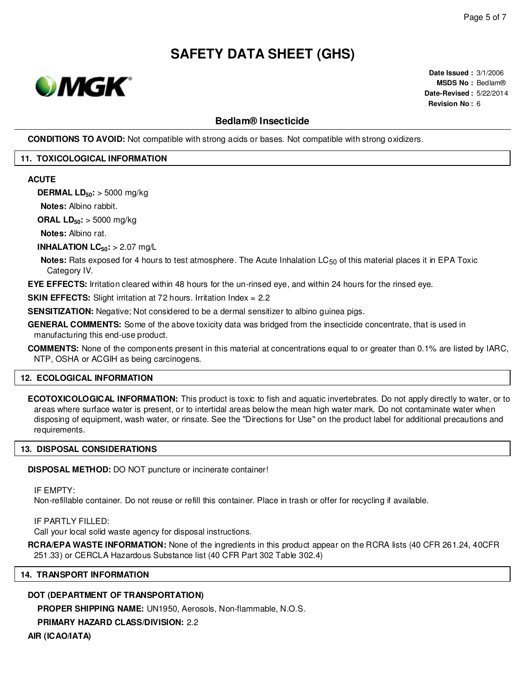

**Date Issued :** 3/1/2006 **MSDS No :** Bedlam® **Date-Revised :** 5/22/2014 **Revision No :** 6

### **Bedlam® Insecticide**

**CONDITIONS TO AVOID:** Not compatible with strong acids or bases. Not compatible with strong oxidizers.

#### **11. TOXICOLOGICAL INFORMATION**

#### **ACUTE**

**DERMAL LD50:** > 5000 mg/kg

**Notes:** Albino rabbit.

**ORAL LD50:** > 5000 mg/kg

**Notes:** Albino rat.

**INHALATION LC50:** > 2.07 mg/L

**Notes:** Rats exposed for 4 hours to test atmosphere. The Acute Inhalation LC<sub>50</sub> of this material places it in EPA Toxic Category IV.

**EYE EFFECTS:** Irritation cleared within 48 hours for the un-rinsed eye, and within 24 hours for the rinsed eye.

**SKIN EFFECTS:** Slight irritation at 72 hours. Irritation Index = 2.2

**SENSITIZATION:** Negative; Not considered to be a dermal sensitizer to albino guinea pigs.

**GENERAL COMMENTS:** Some of the above toxicity data was bridged from the insecticide concentrate, that is used in manufacturing this end-use product.

**COMMENTS:** None of the components present in this material at concentrations equal to or greater than 0.1% are listed by IARC, NTP, OSHA or ACGIH as being carcinogens.

#### **12. ECOLOGICAL INFORMATION**

**ECOTOXICOLOGICAL INFORMATION:** This product is toxic to fish and aquatic invertebrates. Do not apply directly to water, or to areas where surface water is present, or to intertidal areas below the mean high water mark. Do not contaminate water when disposing of equipment, wash water, or rinsate. See the "Directions for Use" on the product label for additional precautions and requirements.

### **13. DISPOSAL CONSIDERATIONS**

**DISPOSAL METHOD:** DO NOT puncture or incinerate container!

IF EMPTY:

Non-refillable container. Do not reuse or refill this container. Place in trash or offer for recycling if available.

IF PARTLY FILLED:

Call your local solid waste agency for disposal instructions.

**RCRA/EPA WASTE INFORMATION:** None of the ingredients in this product appear on the RCRA lists (40 CFR 261.24, 40CFR 251.33) or CERCLA Hazardous Substance list (40 CFR Part 302 Table 302.4)

#### **14. TRANSPORT INFORMATION**

# **DOT (DEPARTMENT OF TRANSPORTATION)**

**PROPER SHIPPING NAME:** UN1950, Aerosols, Non-flammable, N.O.S.

**PRIMARY HAZARD CLASS/DIVISION:** 2.2

**AIR (ICAO/IATA)**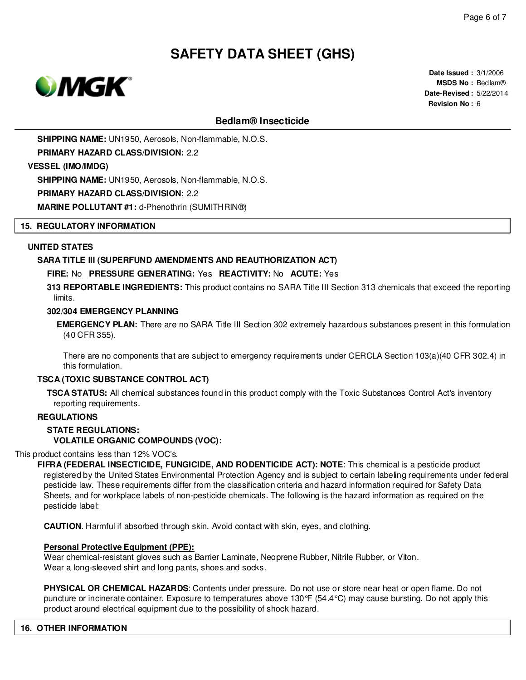

**Date Issued :** 3/1/2006 **MSDS No :** Bedlam® **Date-Revised :** 5/22/2014 **Revision No :** 6

## **Bedlam® Insecticide**

**SHIPPING NAME:** UN1950, Aerosols, Non-flammable, N.O.S.

**PRIMARY HAZARD CLASS/DIVISION:** 2.2

**VESSEL (IMO/IMDG)**

**SHIPPING NAME:** UN1950, Aerosols, Non-flammable, N.O.S.

**PRIMARY HAZARD CLASS/DIVISION:** 2.2

**MARINE POLLUTANT #1:** d-Phenothrin (SUMITHRIN®)

#### **15. REGULATORY INFORMATION**

#### **UNITED STATES**

#### **SARA TITLE III (SUPERFUND AMENDMENTS AND REAUTHORIZATION ACT)**

#### **FIRE:** No **PRESSURE GENERATING:** Yes **REACTIVITY:** No **ACUTE:** Yes

**313 REPORTABLE INGREDIENTS:** This product contains no SARA Title III Section 313 chemicals that exceed the reporting limits.

#### **302/304 EMERGENCY PLANNING**

**EMERGENCY PLAN:** There are no SARA Title III Section 302 extremely hazardous substances present in this formulation (40 CFR 355).

There are no components that are subject to emergency requirements under CERCLA Section 103(a)(40 CFR 302.4) in this formulation.

#### **TSCA (TOXIC SUBSTANCE CONTROL ACT)**

**TSCA STATUS:** All chemical substances found in this product comply with the Toxic Substances Control Act's inventory reporting requirements.

#### **REGULATIONS**

# **STATE REGULATIONS:**

**VOLATILE ORGANIC COMPOUNDS (VOC):**

This product contains less than 12% VOC's.

**FIFRA (FEDERAL INSECTICIDE, FUNGICIDE, AND RODENTICIDE ACT): NOTE**: This chemical is a pesticide product registered by the United States Environmental Protection Agency and is subject to certain labeling requirements under federal pesticide law. These requirements differ from the classification criteria and hazard information required for Safety Data Sheets, and for workplace labels of non-pesticide chemicals. The following is the hazard information as required on the pesticide label:

**CAUTION**. Harmful if absorbed through skin. Avoid contact with skin, eyes, and clothing.

#### **Personal Protective Equipment (PPE):**

Wear chemical-resistant gloves such as Barrier Laminate, Neoprene Rubber, Nitrile Rubber, or Viton. Wear a long-sleeved shirt and long pants, shoes and socks.

**PHYSICAL OR CHEMICAL HAZARDS**: Contents under pressure. Do not use or store near heat or open flame. Do not puncture or incinerate container. Exposure to temperatures above 130°F (54.4°C) may cause bursting. Do not apply this product around electrical equipment due to the possibility of shock hazard.